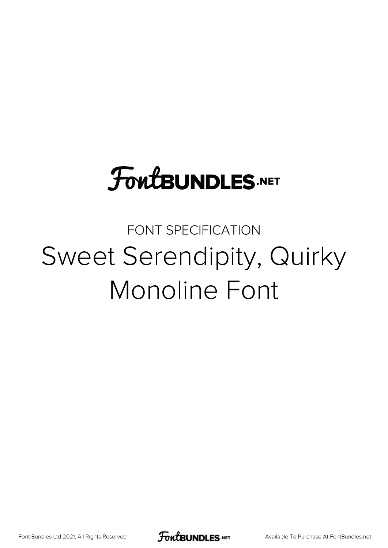# **FoutBUNDLES.NET**

# FONT SPECIFICATION Sweet Serendipity, Quirky Monoline Font

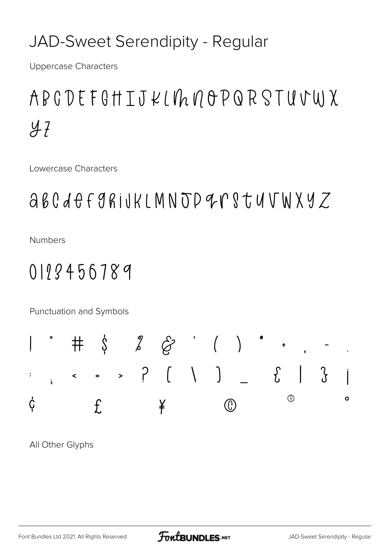#### JAD-Sweet Serendipity - Regular

**Uppercase Characters** 

## ABCDEFGHIJKL $\not$ hnoPQRSTUVWX  $47$

Lowercase Characters

### abcdefgrijkLMNJD9rstuVWXYZ

**Numbers** 

#### 0118456789

Punctuation and Symbols



All Other Glyphs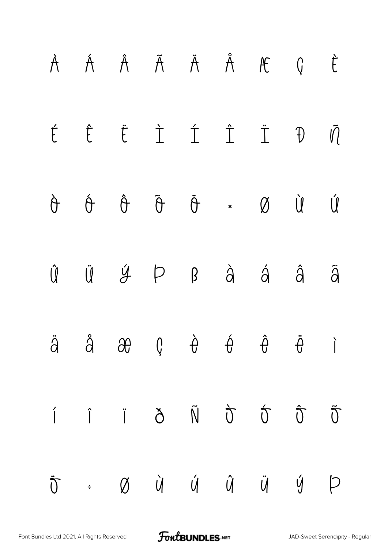|  | À Á Â Ã Ä Å Æ Ç È                                                                                                                                                                                                                                                                                                                                                                                                                  |  |  |  |
|--|------------------------------------------------------------------------------------------------------------------------------------------------------------------------------------------------------------------------------------------------------------------------------------------------------------------------------------------------------------------------------------------------------------------------------------|--|--|--|
|  | É Ë Ë Ì Í Ï Đ VĨ                                                                                                                                                                                                                                                                                                                                                                                                                   |  |  |  |
|  | $\begin{matrix} \mathring{\theta} & \mathring{\theta} & \mathring{\theta} & \mathring{\theta} & \mathring{\theta} & \mathring{\theta} & \mathring{\theta} & \mathring{\theta} \end{matrix} \quad \begin{matrix} \mathring{\theta} & \mathring{\theta} & \mathring{\theta} & \mathring{\theta} & \mathring{\theta} & \mathring{\theta} & \mathring{\theta} \end{matrix}$                                                            |  |  |  |
|  | $\hat{\mathsf{U}}\quad \  \  \, \mathsf{U}\quad \  \  \, \hat{\mathsf{Y}}\qquad \  \  \, \mathsf{P}\qquad \  \  \, \hat{\mathsf{B}}\qquad \  \  \, \hat{\mathsf{G}}\qquad \  \  \, \hat{\mathsf{G}}\qquad \  \  \, \hat{\mathsf{G}}\qquad \  \  \, \tilde{\mathsf{G}}\qquad \  \  \, \tilde{\mathsf{G}}\qquad \  \  \, \tilde{\mathsf{G}}\qquad \  \  \, \tilde{\mathsf{G}}\qquad \  \  \, \tilde{\mathsf{G}}\qquad \  \  \, \til$ |  |  |  |
|  | $\ddot{a}$ $\ddot{a}$ $\partial\theta$ $\dot{\theta}$ $\dot{\theta}$ $\ddot{\theta}$ $\ddot{\theta}$ i                                                                                                                                                                                                                                                                                                                             |  |  |  |
|  | $\begin{array}{ccccccccccccc} \hat{I} & \hat{I} & \hat{I} & \hat{O} & \hat{N} & \hat{O} & \hat{O} & \hat{O} & \hat{O} & \hat{O} & \end{array}$                                                                                                                                                                                                                                                                                     |  |  |  |
|  | $\ddot{\sigma}$ + $\emptyset$ $\dot{\vee}$ $\dot{\vee}$ $\dot{\vee}$ $\ddot{\vee}$ $\ddot{\vee}$ $\ddot{\vee}$ $\phi$ $\phi$                                                                                                                                                                                                                                                                                                       |  |  |  |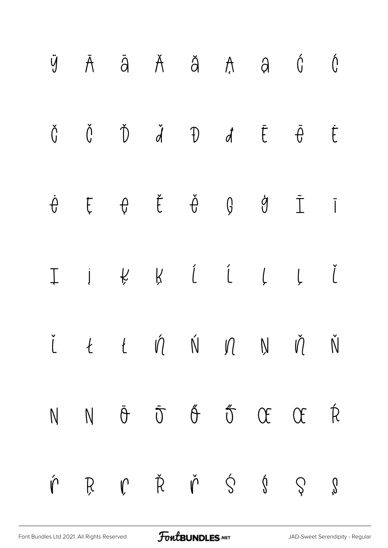

[Font Bundles Ltd 2021. All Rights Reserved](https://fontbundles.net/) **FoutBUNDLES.NET** [JAD-Sweet Serendipity - Regular](https://fontbundles.net/)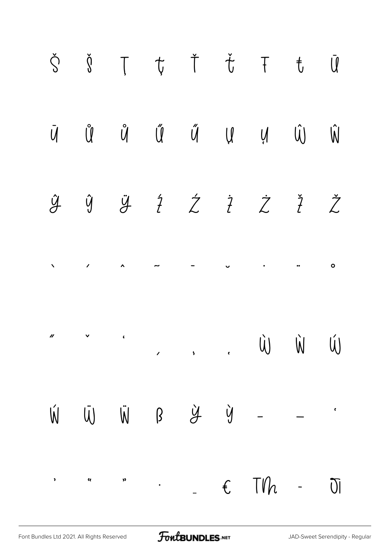

FontBUNDLES.NET